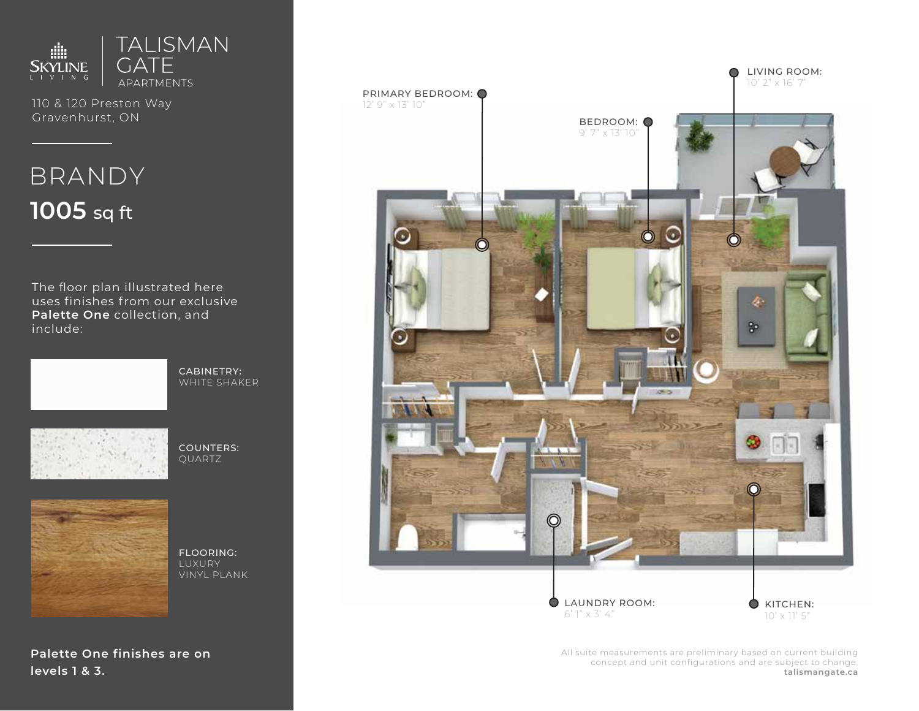

110 & 120 Preston Way Gravenhurst, ON

# BRANDY **1005** sq ft

The floor plan illustrated here uses finishes from our exclusive **Palette One** collection, and include:



CABINETRY: WHITE SHAKER



COUNTERS: QUARTZ



FLOORING: LUXURY VINYL PLANK

**Palette One finishes are on levels 1 & 3.**



All suite measurements are preliminary based on current building concept and unit configurations and are subject to change. **talismangate.ca**